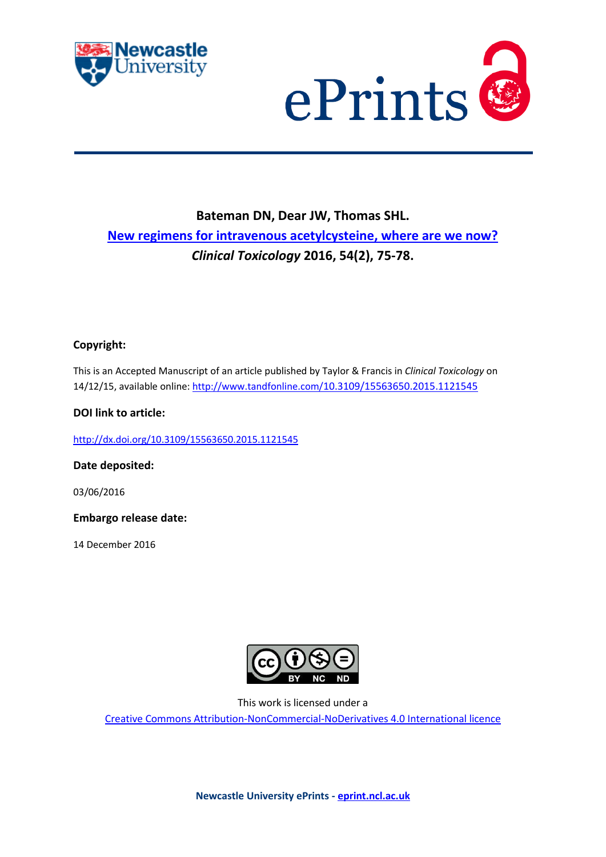



# **Bateman DN, Dear JW, Thomas SHL. [New regimens for intravenous acetylcysteine, where are we now?](javascript:ViewPublication(222018);)** *Clinical Toxicology* **2016, 54(2), 75-78.**

# **Copyright:**

This is an Accepted Manuscript of an article published by Taylor & Francis in *Clinical Toxicology* on 14/12/15, available online: http://www.tandfonline.com/[10.3109/15563650.2015.1121545](http://www.tandfonline.com/10.3109/15563650.2015.1121545)

### **DOI link to article:**

<http://dx.doi.org/10.3109/15563650.2015.1121545>

**Date deposited:** 

03/06/2016

**Embargo release date:**

14 December 2016



This work is licensed under a

[Creative Commons Attribution-NonCommercial-NoDerivatives 4.0 International licence](https://creativecommons.org/licenses/by-nc-nd/4.0/)

**Newcastle University ePrints - [eprint.ncl.ac.uk](http://eprint.ncl.ac.uk/)**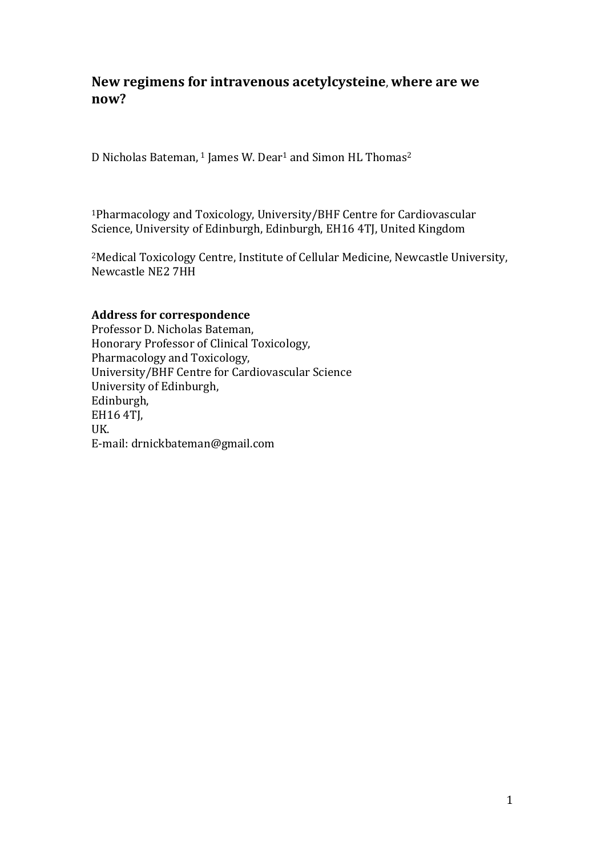# **New regimens for intravenous acetylcysteine**, **where are we now?**

D Nicholas Bateman, <sup>1</sup> James W. Dear<sup>1</sup> and Simon HL Thomas<sup>2</sup>

<sup>1</sup>Pharmacology and Toxicology, University/BHF Centre for Cardiovascular Science, University of Edinburgh, Edinburgh, EH16 4TJ, United Kingdom

<sup>2</sup>Medical Toxicology Centre, Institute of Cellular Medicine, Newcastle University, Newcastle NE2 7HH

# **Address for correspondence**

Professor D. Nicholas Bateman, Honorary Professor of Clinical Toxicology, Pharmacology and Toxicology, University/BHF Centre for Cardiovascular Science University of Edinburgh, Edinburgh, EH16 4TJ, UK. E-mail: drnickbateman@gmail.com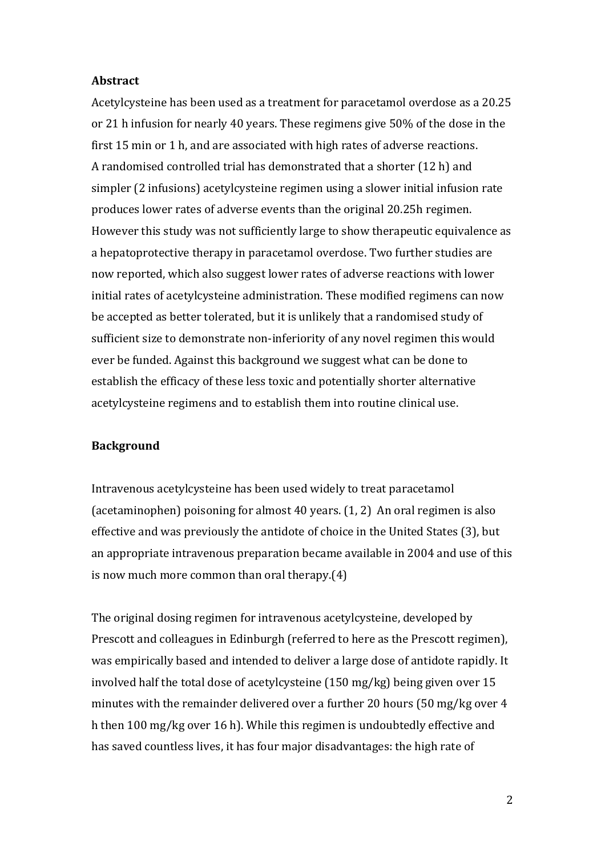#### **Abstract**

Acetylcysteine has been used as a treatment for paracetamol overdose as a 20.25 or 21 h infusion for nearly 40 years. These regimens give 50% of the dose in the first 15 min or 1 h, and are associated with high rates of adverse reactions. A randomised controlled trial has demonstrated that a shorter (12 h) and simpler (2 infusions) acetylcysteine regimen using a slower initial infusion rate produces lower rates of adverse events than the original 20.25h regimen. However this study was not sufficiently large to show therapeutic equivalence as a hepatoprotective therapy in paracetamol overdose. Two further studies are now reported, which also suggest lower rates of adverse reactions with lower initial rates of acetylcysteine administration. These modified regimens can now be accepted as better tolerated, but it is unlikely that a randomised study of sufficient size to demonstrate non-inferiority of any novel regimen this would ever be funded. Against this background we suggest what can be done to establish the efficacy of these less toxic and potentially shorter alternative acetylcysteine regimens and to establish them into routine clinical use.

#### **Background**

Intravenous acetylcysteine has been used widely to treat paracetamol (acetaminophen) poisoning for almost 40 years. (1, 2) An oral regimen is also effective and was previously the antidote of choice in the United States (3), but an appropriate intravenous preparation became available in 2004 and use of this is now much more common than oral therapy.(4)

The original dosing regimen for intravenous acetylcysteine, developed by Prescott and colleagues in Edinburgh (referred to here as the Prescott regimen), was empirically based and intended to deliver a large dose of antidote rapidly. It involved half the total dose of acetylcysteine (150 mg/kg) being given over 15 minutes with the remainder delivered over a further 20 hours (50 mg/kg over 4 h then 100 mg/kg over 16 h). While this regimen is undoubtedly effective and has saved countless lives, it has four major disadvantages: the high rate of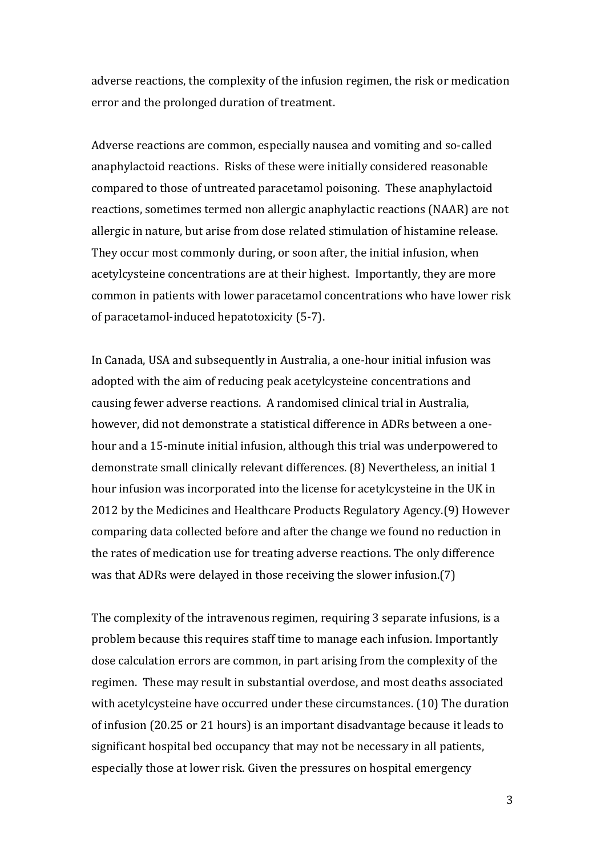adverse reactions, the complexity of the infusion regimen, the risk or medication error and the prolonged duration of treatment.

Adverse reactions are common, especially nausea and vomiting and so-called anaphylactoid reactions. Risks of these were initially considered reasonable compared to those of untreated paracetamol poisoning. These anaphylactoid reactions, sometimes termed non allergic anaphylactic reactions (NAAR) are not allergic in nature, but arise from dose related stimulation of histamine release. They occur most commonly during, or soon after, the initial infusion, when acetylcysteine concentrations are at their highest. Importantly, they are more common in patients with lower paracetamol concentrations who have lower risk of paracetamol-induced hepatotoxicity (5-7).

In Canada, USA and subsequently in Australia, a one-hour initial infusion was adopted with the aim of reducing peak acetylcysteine concentrations and causing fewer adverse reactions. A randomised clinical trial in Australia, however, did not demonstrate a statistical difference in ADRs between a onehour and a 15-minute initial infusion, although this trial was underpowered to demonstrate small clinically relevant differences. (8) Nevertheless, an initial 1 hour infusion was incorporated into the license for acetylcysteine in the UK in 2012 by the Medicines and Healthcare Products Regulatory Agency.(9) However comparing data collected before and after the change we found no reduction in the rates of medication use for treating adverse reactions. The only difference was that ADRs were delayed in those receiving the slower infusion.(7)

The complexity of the intravenous regimen, requiring 3 separate infusions, is a problem because this requires staff time to manage each infusion. Importantly dose calculation errors are common, in part arising from the complexity of the regimen. These may result in substantial overdose, and most deaths associated with acetylcysteine have occurred under these circumstances. (10) The duration of infusion (20.25 or 21 hours) is an important disadvantage because it leads to significant hospital bed occupancy that may not be necessary in all patients, especially those at lower risk. Given the pressures on hospital emergency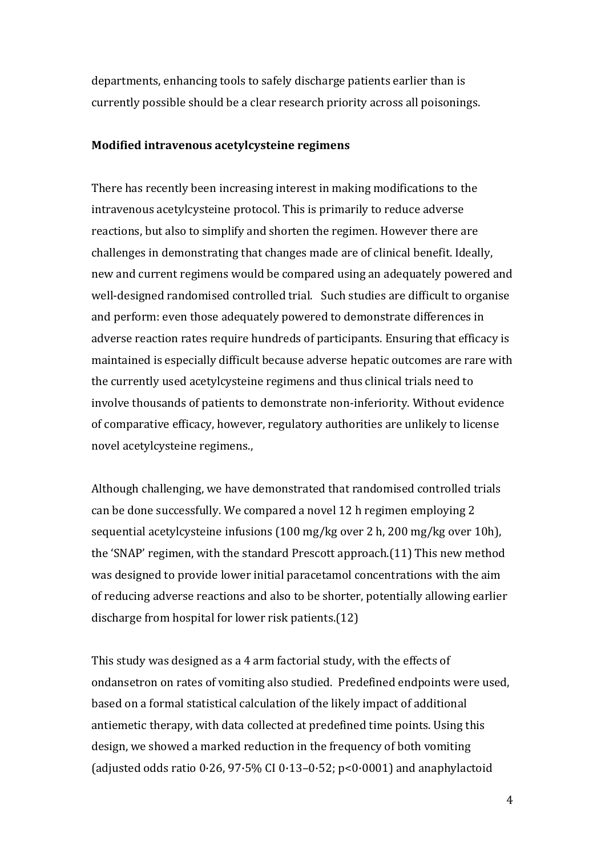departments, enhancing tools to safely discharge patients earlier than is currently possible should be a clear research priority across all poisonings.

#### **Modified intravenous acetylcysteine regimens**

There has recently been increasing interest in making modifications to the intravenous acetylcysteine protocol. This is primarily to reduce adverse reactions, but also to simplify and shorten the regimen. However there are challenges in demonstrating that changes made are of clinical benefit. Ideally, new and current regimens would be compared using an adequately powered and well-designed randomised controlled trial. Such studies are difficult to organise and perform: even those adequately powered to demonstrate differences in adverse reaction rates require hundreds of participants. Ensuring that efficacy is maintained is especially difficult because adverse hepatic outcomes are rare with the currently used acetylcysteine regimens and thus clinical trials need to involve thousands of patients to demonstrate non-inferiority. Without evidence of comparative efficacy, however, regulatory authorities are unlikely to license novel acetylcysteine regimens.,

Although challenging, we have demonstrated that randomised controlled trials can be done successfully. We compared a novel 12 h regimen employing 2 sequential acetylcysteine infusions (100 mg/kg over 2 h, 200 mg/kg over 10h), the 'SNAP' regimen, with the standard Prescott approach.(11) This new method was designed to provide lower initial paracetamol concentrations with the aim of reducing adverse reactions and also to be shorter, potentially allowing earlier discharge from hospital for lower risk patients.(12)

This study was designed as a 4 arm factorial study, with the effects of ondansetron on rates of vomiting also studied. Predefined endpoints were used, based on a formal statistical calculation of the likely impact of additional antiemetic therapy, with data collected at predefined time points. Using this design, we showed a marked reduction in the frequency of both vomiting (adjusted odds ratio 0·26, 97·5% CI 0·13–0·52; p<0·0001) and anaphylactoid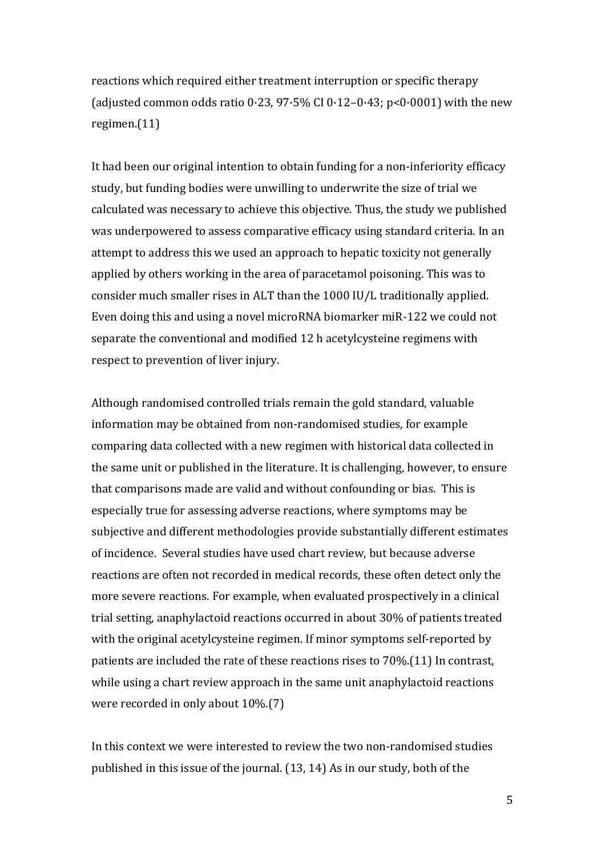reactions which required either treatment interruption or specific therapy (adjusted common odds ratio  $0.23$ ,  $97.5\%$  CI  $0.12-0.43$ ;  $p<0.0001$ ) with the new regimen.(11)

It had been our original intention to obtain funding for a non-inferiority efficacy study, but funding bodies were unwilling to underwrite the size of trial we calculated was necessary to achieve this objective. Thus, the study we published was underpowered to assess comparative efficacy using standard criteria. In an attempt to address this we used an approach to hepatic toxicity not generally applied by others working in the area of paracetamol poisoning. This was to consider much smaller rises in ALT than the 1000 IU/L traditionally applied. Even doing this and using a novel microRNA biomarker miR-122 we could not separate the conventional and modified 12 h acetylcysteine regimens with respect to prevention of liver injury.

Although randomised controlled trials remain the gold standard, valuable information may be obtained from non-randomised studies, for example comparing data collected with a new regimen with historical data collected in the same unit or published in the literature. It is challenging, however, to ensure that comparisons made are valid and without confounding or bias. This is especially true for assessing adverse reactions, where symptoms may be subjective and different methodologies provide substantially different estimates of incidence. Several studies have used chart review, but because adverse reactions are often not recorded in medical records, these often detect only the more severe reactions. For example, when evaluated prospectively in a clinical trial setting, anaphylactoid reactions occurred in about 30% of patients treated with the original acetylcysteine regimen. If minor symptoms self-reported by patients are included the rate of these reactions rises to 70%.(11) In contrast, while using a chart review approach in the same unit anaphylactoid reactions were recorded in only about 10%.(7)

In this context we were interested to review the two non-randomised studies published in this issue of the journal. (13, 14) As in our study, both of the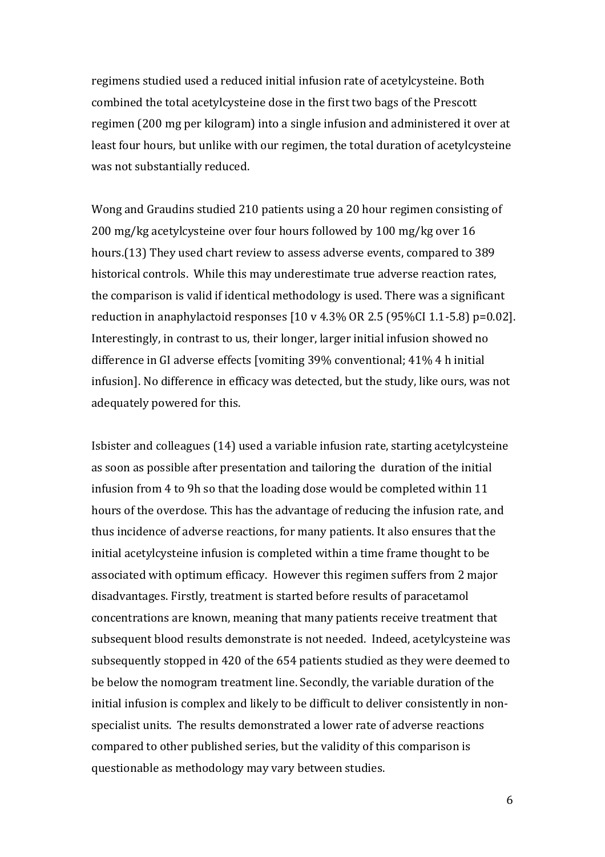regimens studied used a reduced initial infusion rate of acetylcysteine. Both combined the total acetylcysteine dose in the first two bags of the Prescott regimen (200 mg per kilogram) into a single infusion and administered it over at least four hours, but unlike with our regimen, the total duration of acetylcysteine was not substantially reduced.

Wong and Graudins studied 210 patients using a 20 hour regimen consisting of 200 mg/kg acetylcysteine over four hours followed by 100 mg/kg over 16 hours.(13) They used chart review to assess adverse events, compared to 389 historical controls. While this may underestimate true adverse reaction rates, the comparison is valid if identical methodology is used. There was a significant reduction in anaphylactoid responses  $[10 \text{ v } 4.3\% \text{ OR } 2.5 \text{ (95\% CI } 1.1-5.8) \text{ p=0.02}].$ Interestingly, in contrast to us, their longer, larger initial infusion showed no difference in GI adverse effects [vomiting 39% conventional; 41% 4 h initial infusion]. No difference in efficacy was detected, but the study, like ours, was not adequately powered for this.

Isbister and colleagues (14) used a variable infusion rate, starting acetylcysteine as soon as possible after presentation and tailoring the duration of the initial infusion from 4 to 9h so that the loading dose would be completed within 11 hours of the overdose. This has the advantage of reducing the infusion rate, and thus incidence of adverse reactions, for many patients. It also ensures that the initial acetylcysteine infusion is completed within a time frame thought to be associated with optimum efficacy. However this regimen suffers from 2 major disadvantages. Firstly, treatment is started before results of paracetamol concentrations are known, meaning that many patients receive treatment that subsequent blood results demonstrate is not needed. Indeed, acetylcysteine was subsequently stopped in 420 of the 654 patients studied as they were deemed to be below the nomogram treatment line. Secondly, the variable duration of the initial infusion is complex and likely to be difficult to deliver consistently in nonspecialist units. The results demonstrated a lower rate of adverse reactions compared to other published series, but the validity of this comparison is questionable as methodology may vary between studies.

6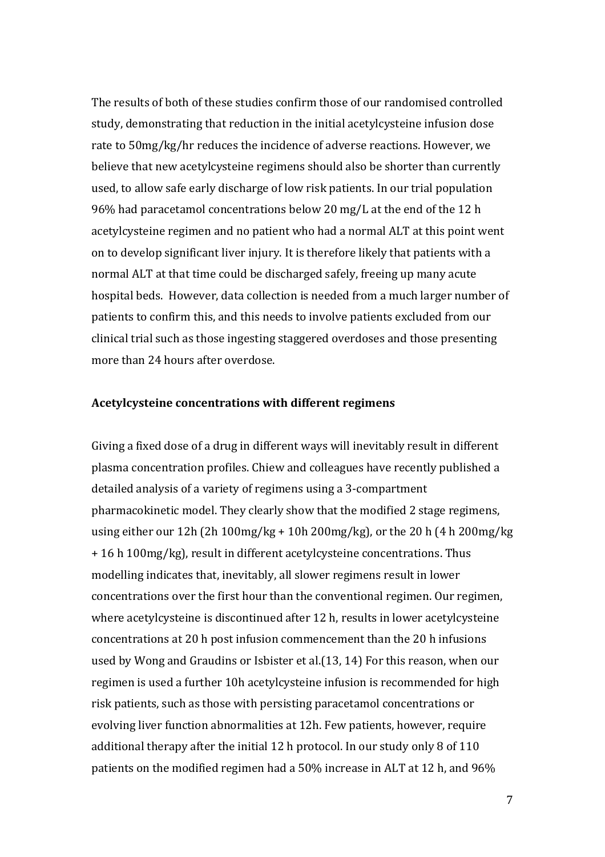The results of both of these studies confirm those of our randomised controlled study, demonstrating that reduction in the initial acetylcysteine infusion dose rate to 50mg/kg/hr reduces the incidence of adverse reactions. However, we believe that new acetylcysteine regimens should also be shorter than currently used, to allow safe early discharge of low risk patients. In our trial population 96% had paracetamol concentrations below 20 mg/L at the end of the 12 h acetylcysteine regimen and no patient who had a normal ALT at this point went on to develop significant liver injury. It is therefore likely that patients with a normal ALT at that time could be discharged safely, freeing up many acute hospital beds. However, data collection is needed from a much larger number of patients to confirm this, and this needs to involve patients excluded from our clinical trial such as those ingesting staggered overdoses and those presenting more than 24 hours after overdose.

#### **Acetylcysteine concentrations with different regimens**

Giving a fixed dose of a drug in different ways will inevitably result in different plasma concentration profiles. Chiew and colleagues have recently published a detailed analysis of a variety of regimens using a 3-compartment pharmacokinetic model. They clearly show that the modified 2 stage regimens, using either our 12h (2h 100mg/kg + 10h 200mg/kg), or the 20 h (4 h 200mg/kg + 16 h 100mg/kg), result in different acetylcysteine concentrations. Thus modelling indicates that, inevitably, all slower regimens result in lower concentrations over the first hour than the conventional regimen. Our regimen, where acetylcysteine is discontinued after 12 h, results in lower acetylcysteine concentrations at 20 h post infusion commencement than the 20 h infusions used by Wong and Graudins or Isbister et al.(13, 14) For this reason, when our regimen is used a further 10h acetylcysteine infusion is recommended for high risk patients, such as those with persisting paracetamol concentrations or evolving liver function abnormalities at 12h. Few patients, however, require additional therapy after the initial 12 h protocol. In our study only 8 of 110 patients on the modified regimen had a 50% increase in ALT at 12 h, and 96%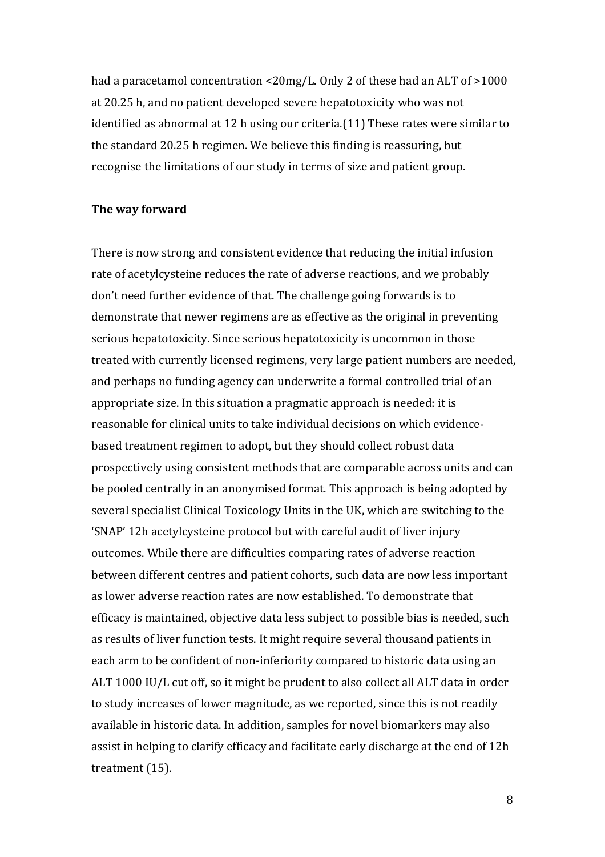had a paracetamol concentration <20mg/L. Only 2 of these had an ALT of >1000 at 20.25 h, and no patient developed severe hepatotoxicity who was not identified as abnormal at 12 h using our criteria.(11) These rates were similar to the standard 20.25 h regimen. We believe this finding is reassuring, but recognise the limitations of our study in terms of size and patient group.

## **The way forward**

There is now strong and consistent evidence that reducing the initial infusion rate of acetylcysteine reduces the rate of adverse reactions, and we probably don't need further evidence of that. The challenge going forwards is to demonstrate that newer regimens are as effective as the original in preventing serious hepatotoxicity. Since serious hepatotoxicity is uncommon in those treated with currently licensed regimens, very large patient numbers are needed, and perhaps no funding agency can underwrite a formal controlled trial of an appropriate size. In this situation a pragmatic approach is needed: it is reasonable for clinical units to take individual decisions on which evidencebased treatment regimen to adopt, but they should collect robust data prospectively using consistent methods that are comparable across units and can be pooled centrally in an anonymised format. This approach is being adopted by several specialist Clinical Toxicology Units in the UK, which are switching to the 'SNAP' 12h acetylcysteine protocol but with careful audit of liver injury outcomes. While there are difficulties comparing rates of adverse reaction between different centres and patient cohorts, such data are now less important as lower adverse reaction rates are now established. To demonstrate that efficacy is maintained, objective data less subject to possible bias is needed, such as results of liver function tests. It might require several thousand patients in each arm to be confident of non-inferiority compared to historic data using an ALT 1000 IU/L cut off, so it might be prudent to also collect all ALT data in order to study increases of lower magnitude, as we reported, since this is not readily available in historic data. In addition, samples for novel biomarkers may also assist in helping to clarify efficacy and facilitate early discharge at the end of 12h treatment (15).

8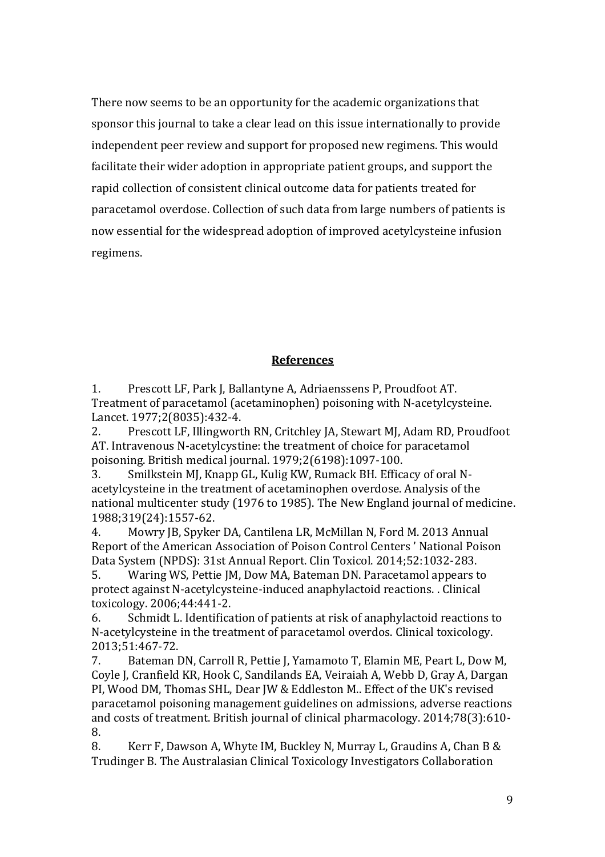There now seems to be an opportunity for the academic organizations that sponsor this journal to take a clear lead on this issue internationally to provide independent peer review and support for proposed new regimens. This would facilitate their wider adoption in appropriate patient groups, and support the rapid collection of consistent clinical outcome data for patients treated for paracetamol overdose. Collection of such data from large numbers of patients is now essential for the widespread adoption of improved acetylcysteine infusion regimens.

#### **References**

1. Prescott LF, Park J, Ballantyne A, Adriaenssens P, Proudfoot AT. Treatment of paracetamol (acetaminophen) poisoning with N-acetylcysteine. Lancet. 1977;2(8035):432-4.

2. Prescott LF, Illingworth RN, Critchley JA, Stewart MJ, Adam RD, Proudfoot AT. Intravenous N-acetylcystine: the treatment of choice for paracetamol poisoning. British medical journal. 1979;2(6198):1097-100.

3. Smilkstein MJ, Knapp GL, Kulig KW, Rumack BH. Efficacy of oral Nacetylcysteine in the treatment of acetaminophen overdose. Analysis of the national multicenter study (1976 to 1985). The New England journal of medicine. 1988;319(24):1557-62.

4. Mowry JB, Spyker DA, Cantilena LR, McMillan N, Ford M. 2013 Annual Report of the American Association of Poison Control Centers ' National Poison Data System (NPDS): 31st Annual Report. Clin Toxicol. 2014;52:1032-283.

5. Waring WS, Pettie JM, Dow MA, Bateman DN. Paracetamol appears to protect against N-acetylcysteine-induced anaphylactoid reactions. . Clinical toxicology. 2006;44:441-2.

6. Schmidt L. Identification of patients at risk of anaphylactoid reactions to N-acetylcysteine in the treatment of paracetamol overdos. Clinical toxicology. 2013;51:467-72.

7. Bateman DN, Carroll R, Pettie J, Yamamoto T, Elamin ME, Peart L, Dow M, Coyle J, Cranfield KR, Hook C, Sandilands EA, Veiraiah A, Webb D, Gray A, Dargan PI, Wood DM, Thomas SHL, Dear JW & Eddleston M.. Effect of the UK's revised paracetamol poisoning management guidelines on admissions, adverse reactions and costs of treatment. British journal of clinical pharmacology. 2014;78(3):610- 8.

8. Kerr F, Dawson A, Whyte IM, Buckley N, Murray L, Graudins A, Chan B & Trudinger B. The Australasian Clinical Toxicology Investigators Collaboration